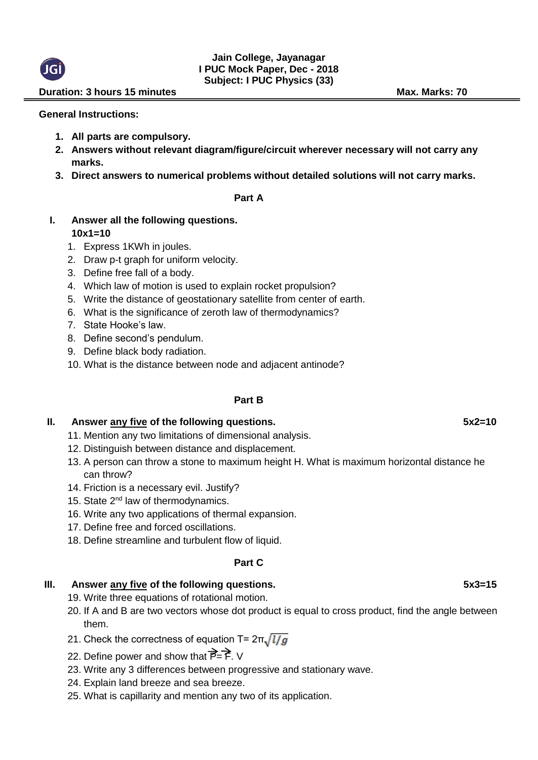### **Jain College, Jayanagar I PUC Mock Paper, Dec - 2018 Subject: I PUC Physics (33)**

#### **Duration: 3 hours 15 minutes Max. Marks: 70**

#### **General Instructions:**

- **1. All parts are compulsory.**
- **2. Answers without relevant diagram/figure/circuit wherever necessary will not carry any marks.**
- **3. Direct answers to numerical problems without detailed solutions will not carry marks.**

#### **Part A**

### **I. Answer all the following questions. 10x1=10**

- 1. Express 1KWh in joules.
- 2. Draw p-t graph for uniform velocity.
- 3. Define free fall of a body.
- 4. Which law of motion is used to explain rocket propulsion?
- 5. Write the distance of geostationary satellite from center of earth.
- 6. What is the significance of zeroth law of thermodynamics?
- 7. State Hooke's law.
- 8. Define second's pendulum.
- 9. Define black body radiation.
- 10. What is the distance between node and adjacent antinode?

### **Part B**

# **II. Answer any five of the following questions. 5x2=10**

- 11. Mention any two limitations of dimensional analysis.
- 12. Distinguish between distance and displacement.
- 13. A person can throw a stone to maximum height H. What is maximum horizontal distance he can throw?
- 14. Friction is a necessary evil. Justify?
- 15. State  $2^{nd}$  law of thermodynamics.
- 16. Write any two applications of thermal expansion.
- 17. Define free and forced oscillations.
- 18. Define streamline and turbulent flow of liquid.

### **Part C**

# **III. Answer any five of the following questions. 5x3=15**

- 19. Write three equations of rotational motion.
- 20. If A and B are two vectors whose dot product is equal to cross product, find the angle between them.
- 21. Check the correctness of equation T=  $2\pi\sqrt{l/g}$
- 22. Define power and show that  $\overrightarrow{P}=\overrightarrow{F}$ . V
- 23. Write any 3 differences between progressive and stationary wave.
- 24. Explain land breeze and sea breeze.
- 25. What is capillarity and mention any two of its application.